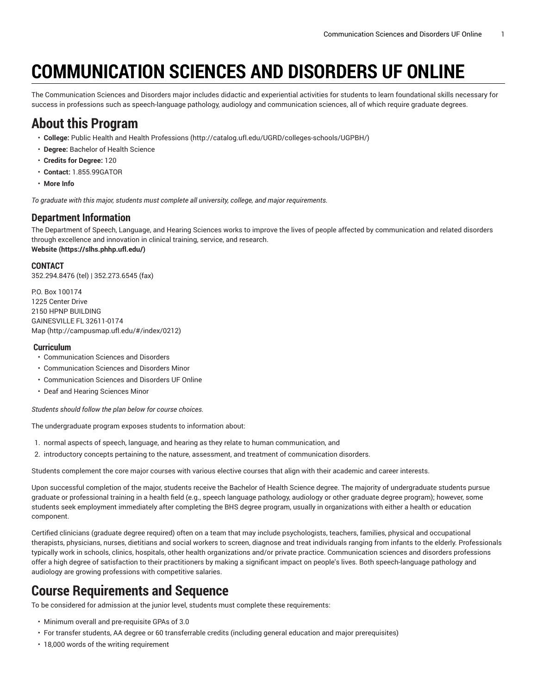# **COMMUNICATION SCIENCES AND DISORDERS UF ONLINE**

The Communication Sciences and Disorders major includes didactic and experiential activities for students to learn foundational skills necessary for success in professions such as speech-language pathology, audiology and communication sciences, all of which require graduate degrees.

# **About this Program**

- **College:** Public Health and Health [Professions](http://catalog.ufl.edu/UGRD/colleges-schools/UGPBH/) ([http://catalog.ufl.edu/UGRD/colleges-schools/UGPBH/\)](http://catalog.ufl.edu/UGRD/colleges-schools/UGPBH/)
- **Degree:** Bachelor of Health Science
- **Credits for Degree:** 120
- **Contact:** 1.855.99GATOR
- **More Info**

*To graduate with this major, students must complete all university, college, and major requirements.*

#### **Department Information**

The Department of Speech, Language, and Hearing Sciences works to improve the lives of people affected by communication and related disorders through excellence and innovation in clinical training, service, and research. **[Website](https://slhs.phhp.ufl.edu/) (<https://slhs.phhp.ufl.edu/>)**

#### **CONTACT**

352.294.8476 (tel) | 352.273.6545 (fax)

P.O. Box 100174 1225 Center Drive 2150 HPNP BUILDING GAINESVILLE FL 32611-0174 [Map](http://campusmap.ufl.edu/#/index/0212) ([http://campusmap.ufl.edu/#/index/0212\)](http://campusmap.ufl.edu/#/index/0212)

#### **Curriculum**

- Communication Sciences and Disorders
- Communication Sciences and Disorders Minor
- Communication Sciences and Disorders UF Online
- Deaf and Hearing Sciences Minor

*Students should follow the plan below for course choices.*

The undergraduate program exposes students to information about:

- 1. normal aspects of speech, language, and hearing as they relate to human communication, and
- 2. introductory concepts pertaining to the nature, assessment, and treatment of communication disorders.

Students complement the core major courses with various elective courses that align with their academic and career interests.

Upon successful completion of the major, students receive the Bachelor of Health Science degree. The majority of undergraduate students pursue graduate or professional training in a health field (e.g., speech language pathology, audiology or other graduate degree program); however, some students seek employment immediately after completing the BHS degree program, usually in organizations with either a health or education component.

Certified clinicians (graduate degree required) often on a team that may include psychologists, teachers, families, physical and occupational therapists, physicians, nurses, dietitians and social workers to screen, diagnose and treat individuals ranging from infants to the elderly. Professionals typically work in schools, clinics, hospitals, other health organizations and/or private practice. Communication sciences and disorders professions offer a high degree of satisfaction to their practitioners by making a significant impact on people's lives. Both speech-language pathology and audiology are growing professions with competitive salaries.

# **Course Requirements and Sequence**

To be considered for admission at the junior level, students must complete these requirements:

- Minimum overall and pre-requisite GPAs of 3.0
- For transfer students, AA degree or 60 transferrable credits (including general education and major prerequisites)
- 18,000 words of the writing requirement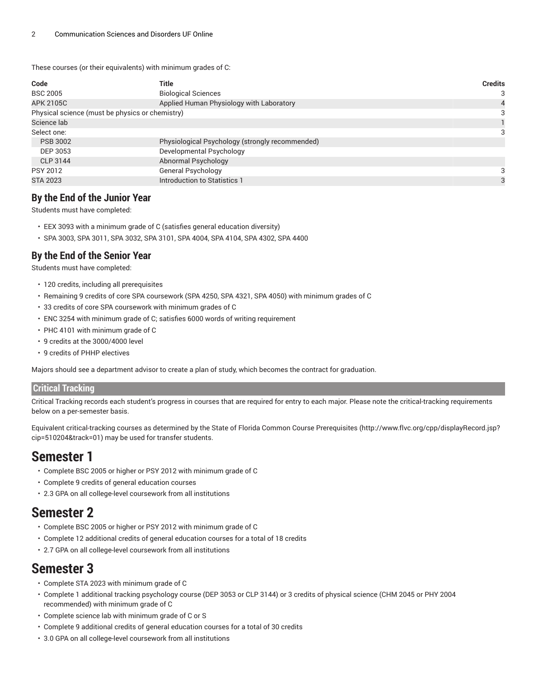These courses (or their equivalents) with minimum grades of C:

| Code                                            | Title                                           | <b>Credits</b> |
|-------------------------------------------------|-------------------------------------------------|----------------|
| <b>BSC 2005</b>                                 | <b>Biological Sciences</b>                      | 3              |
| <b>APK 2105C</b>                                | Applied Human Physiology with Laboratory        |                |
| Physical science (must be physics or chemistry) | 3                                               |                |
| Science lab                                     |                                                 |                |
| Select one:                                     |                                                 |                |
| <b>PSB 3002</b>                                 | Physiological Psychology (strongly recommended) |                |
| DEP 3053                                        | Developmental Psychology                        |                |
| CLP 3144                                        | Abnormal Psychology                             |                |
| <b>PSY 2012</b>                                 | <b>General Psychology</b>                       | 3              |
| <b>STA 2023</b>                                 | Introduction to Statistics 1                    | 3              |

#### **By the End of the Junior Year**

Students must have completed:

- EEX 3093 with a minimum grade of C (satisfies general education diversity)
- SPA 3003, SPA 3011, SPA 3032, SPA 3101, SPA 4004, SPA 4104, SPA 4302, SPA 4400

#### **By the End of the Senior Year**

Students must have completed:

- 120 credits, including all prerequisites
- Remaining 9 credits of core SPA coursework (SPA 4250, SPA 4321, SPA 4050) with minimum grades of C
- 33 credits of core SPA coursework with minimum grades of C
- ENC 3254 with minimum grade of C; satisfies 6000 words of writing requirement
- PHC 4101 with minimum grade of C
- 9 credits at the 3000/4000 level
- 9 credits of PHHP electives

Majors should see a department advisor to create a plan of study, which becomes the contract for graduation.

#### **Critical Tracking**

Critical Tracking records each student's progress in courses that are required for entry to each major. Please note the critical-tracking requirements below on a per-semester basis.

Equivalent critical-tracking courses as determined by the State of Florida Common Course [Prerequisites](http://www.flvc.org/cpp/displayRecord.jsp?cip=510204&track=01) ([http://www.flvc.org/cpp/displayRecord.jsp?](http://www.flvc.org/cpp/displayRecord.jsp?cip=510204&track=01) [cip=510204&track=01\)](http://www.flvc.org/cpp/displayRecord.jsp?cip=510204&track=01) may be used for transfer students.

### **Semester 1**

- Complete BSC 2005 or higher or PSY 2012 with minimum grade of C
- Complete 9 credits of general education courses
- 2.3 GPA on all college-level coursework from all institutions

### **Semester 2**

- Complete BSC 2005 or higher or PSY 2012 with minimum grade of C
- Complete 12 additional credits of general education courses for a total of 18 credits
- 2.7 GPA on all college-level coursework from all institutions

# **Semester 3**

- Complete STA 2023 with minimum grade of C
- Complete 1 additional tracking psychology course (DEP 3053 or CLP 3144) or 3 credits of physical science (CHM 2045 or PHY 2004 recommended) with minimum grade of C
- Complete science lab with minimum grade of C or S
- Complete 9 additional credits of general education courses for a total of 30 credits
- 3.0 GPA on all college-level coursework from all institutions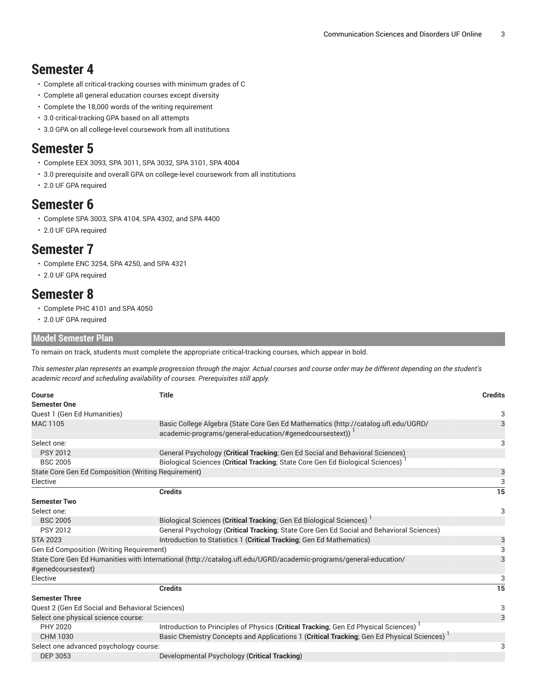## **Semester 4**

- Complete all critical-tracking courses with minimum grades of C
- Complete all general education courses except diversity
- Complete the 18,000 words of the writing requirement
- 3.0 critical-tracking GPA based on all attempts
- 3.0 GPA on all college-level coursework from all institutions

### **Semester 5**

- Complete EEX 3093, SPA 3011, SPA 3032, SPA 3101, SPA 4004
- 3.0 prerequisite and overall GPA on college-level coursework from all institutions
- 2.0 UF GPA required

### **Semester 6**

- Complete SPA 3003, SPA 4104, SPA 4302, and SPA 4400
- 2.0 UF GPA required

## **Semester 7**

- Complete ENC 3254, SPA 4250, and SPA 4321
- 2.0 UF GPA required

# **Semester 8**

- Complete PHC 4101 and SPA 4050
- 2.0 UF GPA required

#### **Model Semester Plan**

To remain on track, students must complete the appropriate critical-tracking courses, which appear in bold.

This semester plan represents an example progression through the major. Actual courses and course order may be different depending on the student's *academic record and scheduling availability of courses. Prerequisites still apply.*

| Course                                                                                                                                                                 | <b>Title</b>                                                                                                      | <b>Credits</b>  |  |  |  |  |
|------------------------------------------------------------------------------------------------------------------------------------------------------------------------|-------------------------------------------------------------------------------------------------------------------|-----------------|--|--|--|--|
| <b>Semester One</b>                                                                                                                                                    |                                                                                                                   |                 |  |  |  |  |
| Quest 1 (Gen Ed Humanities)                                                                                                                                            |                                                                                                                   | 3               |  |  |  |  |
| Basic College Algebra (State Core Gen Ed Mathematics (http://catalog.ufl.edu/UGRD/<br>MAC 1105<br>academic-programs/general-education/#genedcoursestext)) <sup>1</sup> |                                                                                                                   |                 |  |  |  |  |
| Select one:                                                                                                                                                            |                                                                                                                   | 3               |  |  |  |  |
| <b>PSY 2012</b>                                                                                                                                                        | General Psychology (Critical Tracking; Gen Ed Social and Behavioral Sciences)                                     |                 |  |  |  |  |
| <b>BSC 2005</b>                                                                                                                                                        | Biological Sciences (Critical Tracking; State Core Gen Ed Biological Sciences)                                    |                 |  |  |  |  |
| State Core Gen Ed Composition (Writing Requirement)                                                                                                                    |                                                                                                                   | $\mathbf{3}$    |  |  |  |  |
| Elective                                                                                                                                                               |                                                                                                                   | 3               |  |  |  |  |
|                                                                                                                                                                        | <b>Credits</b>                                                                                                    | $\overline{15}$ |  |  |  |  |
| <b>Semester Two</b>                                                                                                                                                    |                                                                                                                   |                 |  |  |  |  |
| Select one:                                                                                                                                                            |                                                                                                                   | 3               |  |  |  |  |
| <b>BSC 2005</b>                                                                                                                                                        | Biological Sciences (Critical Tracking; Gen Ed Biological Sciences)                                               |                 |  |  |  |  |
| <b>PSY 2012</b>                                                                                                                                                        | General Psychology (Critical Tracking; State Core Gen Ed Social and Behavioral Sciences)                          |                 |  |  |  |  |
| <b>STA 2023</b>                                                                                                                                                        | Introduction to Statistics 1 (Critical Tracking, Gen Ed Mathematics)                                              | $\frac{3}{3}$   |  |  |  |  |
| Gen Ed Composition (Writing Requirement)                                                                                                                               |                                                                                                                   |                 |  |  |  |  |
| #genedcoursestext)                                                                                                                                                     | State Core Gen Ed Humanities with International (http://catalog.ufl.edu/UGRD/academic-programs/general-education/ | 3               |  |  |  |  |
| Elective                                                                                                                                                               |                                                                                                                   | 3               |  |  |  |  |
|                                                                                                                                                                        | <b>Credits</b>                                                                                                    | 15              |  |  |  |  |
| <b>Semester Three</b>                                                                                                                                                  |                                                                                                                   |                 |  |  |  |  |
| Quest 2 (Gen Ed Social and Behavioral Sciences)                                                                                                                        |                                                                                                                   | 3               |  |  |  |  |
| Select one physical science course:                                                                                                                                    |                                                                                                                   | 3               |  |  |  |  |
| PHY 2020                                                                                                                                                               | Introduction to Principles of Physics (Critical Tracking; Gen Ed Physical Sciences) <sup>1</sup>                  |                 |  |  |  |  |
| CHM 1030                                                                                                                                                               | Basic Chemistry Concepts and Applications 1 (Critical Tracking; Gen Ed Physical Sciences)                         |                 |  |  |  |  |
| Select one advanced psychology course:                                                                                                                                 |                                                                                                                   | 3               |  |  |  |  |
| <b>DEP 3053</b>                                                                                                                                                        | Developmental Psychology (Critical Tracking)                                                                      |                 |  |  |  |  |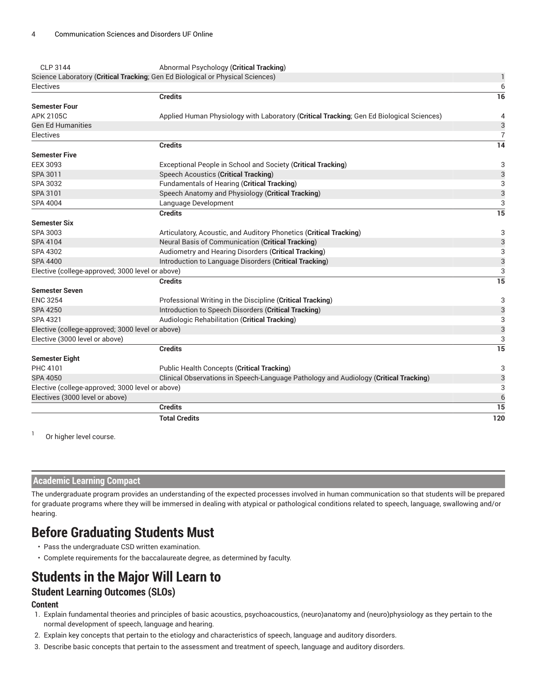| CLP 3144                                         | Abnormal Psychology (Critical Tracking)                                                  |                |
|--------------------------------------------------|------------------------------------------------------------------------------------------|----------------|
|                                                  | Science Laboratory (Critical Tracking; Gen Ed Biological or Physical Sciences)           |                |
| Electives                                        |                                                                                          | 6              |
|                                                  | <b>Credits</b>                                                                           | 16             |
| <b>Semester Four</b>                             |                                                                                          |                |
| APK 2105C                                        | Applied Human Physiology with Laboratory (Critical Tracking; Gen Ed Biological Sciences) | 4              |
| <b>Gen Ed Humanities</b>                         |                                                                                          | 3              |
| <b>Electives</b>                                 |                                                                                          | $\overline{7}$ |
|                                                  | <b>Credits</b>                                                                           | 14             |
| <b>Semester Five</b>                             |                                                                                          |                |
| <b>EEX 3093</b>                                  | Exceptional People in School and Society (Critical Tracking)                             | 3              |
| SPA 3011                                         | <b>Speech Acoustics (Critical Tracking)</b>                                              | 3              |
| SPA 3032                                         | Fundamentals of Hearing (Critical Tracking)                                              | 3              |
| SPA 3101                                         | Speech Anatomy and Physiology (Critical Tracking)                                        | 3              |
| SPA 4004                                         | Language Development                                                                     | 3              |
|                                                  | <b>Credits</b>                                                                           | 15             |
| <b>Semester Six</b>                              |                                                                                          |                |
| SPA 3003                                         | Articulatory, Acoustic, and Auditory Phonetics (Critical Tracking)                       | 3              |
| SPA 4104                                         | Neural Basis of Communication (Critical Tracking)                                        | 3              |
| SPA 4302                                         | Audiometry and Hearing Disorders (Critical Tracking)                                     | 3              |
| <b>SPA 4400</b>                                  | Introduction to Language Disorders (Critical Tracking)                                   | 3              |
| Elective (college-approved; 3000 level or above) |                                                                                          | 3              |
|                                                  | <b>Credits</b>                                                                           | 15             |
| <b>Semester Seven</b>                            |                                                                                          |                |
| <b>ENC 3254</b>                                  | Professional Writing in the Discipline (Critical Tracking)                               | 3              |
| <b>SPA 4250</b>                                  | Introduction to Speech Disorders (Critical Tracking)                                     | 3              |
| SPA 4321                                         | Audiologic Rehabilitation (Critical Tracking)                                            | 3              |
| Elective (college-approved; 3000 level or above) |                                                                                          | 3              |
| Elective (3000 level or above)                   |                                                                                          | 3              |
|                                                  | <b>Credits</b>                                                                           | 15             |
| <b>Semester Eight</b>                            |                                                                                          |                |
| PHC 4101                                         | <b>Public Health Concepts (Critical Tracking)</b>                                        | 3              |
| <b>SPA 4050</b>                                  | Clinical Observations in Speech-Language Pathology and Audiology (Critical Tracking)     | 3              |
| Elective (college-approved; 3000 level or above) |                                                                                          | 3              |
| Electives (3000 level or above)                  |                                                                                          | 6              |
|                                                  | <b>Credits</b>                                                                           | 15             |
|                                                  | <b>Total Credits</b>                                                                     | 120            |

1 Or higher level course.

#### **Academic Learning Compact**

The undergraduate program provides an understanding of the expected processes involved in human communication so that students will be prepared for graduate programs where they will be immersed in dealing with atypical or pathological conditions related to speech, language, swallowing and/or hearing.

# **Before Graduating Students Must**

- Pass the undergraduate CSD written examination.
- Complete requirements for the baccalaureate degree, as determined by faculty.

# **Students in the Major Will Learn to**

#### **Student Learning Outcomes (SLOs)**

#### **Content**

- 1. Explain fundamental theories and principles of basic acoustics, psychoacoustics, (neuro)anatomy and (neuro)physiology as they pertain to the normal development of speech, language and hearing.
- 2. Explain key concepts that pertain to the etiology and characteristics of speech, language and auditory disorders.
- 3. Describe basic concepts that pertain to the assessment and treatment of speech, language and auditory disorders.